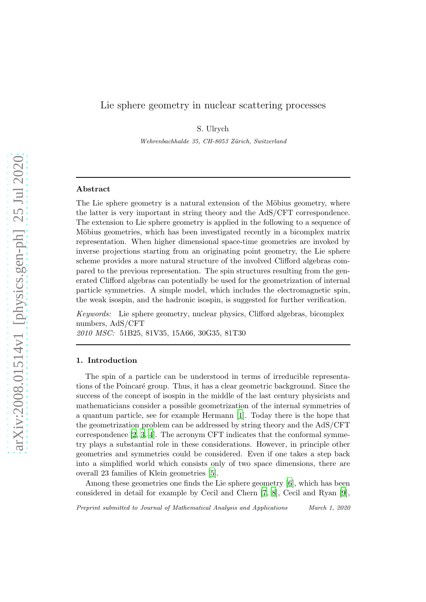# Lie sphere geometry in nuclear scattering processes

S. Ulrych

Wehrenbachhalde 35, CH-8053 Zürich, Switzerland

### Abstract

The Lie sphere geometry is a natural extension of the Möbius geometry, where the latter is very important in string theory and the AdS/CFT correspondence. The extension to Lie sphere geometry is applied in the following to a sequence of Möbius geometries, which has been investigated recently in a bicomplex matrix representation. When higher dimensional space-time geometries are invoked by inverse projections starting from an originating point geometry, the Lie sphere scheme provides a more natural structure of the involved Clifford algebras compared to the previous representation. The spin structures resulting from the generated Clifford algebras can potentially be used for the geometrization of internal particle symmetries. A simple model, which includes the electromagnetic spin, the weak isospin, and the hadronic isospin, is suggested for further verification.

Keywords: Lie sphere geometry, nuclear physics, Clifford algebras, bicomplex numbers, AdS/CFT 2010 MSC: 51B25, 81V35, 15A66, 30G35, 81T30

#### 1. Introduction

The spin of a particle can be understood in terms of irreducible representations of the Poincaré group. Thus, it has a clear geometric background. Since the success of the concept of isospin in the middle of the last century physicists and mathematicians consider a possible geometrization of the internal symmetries of a quantum particle, see for example Hermann [\[1\]](#page-12-0). Today there is the hope that the geometrization problem can be addressed by string theory and the AdS/CFT correspondence [\[2](#page-12-1), [3](#page-12-2), [4](#page-12-3)]. The acronym CFT indicates that the conformal symmetry plays a substantial role in these considerations. However, in principle other geometries and symmetries could be considered. Even if one takes a step back into a simplified world which consists only of two space dimensions, there are overall 23 families of Klein geometries [\[5\]](#page-12-4).

Among these geometries one finds the Lie sphere geometry [\[6\]](#page-12-5), which has been considered in detail for example by Cecil and Chern [\[7](#page-12-6), [8](#page-12-7)], Cecil and Ryan [\[9\]](#page-12-8),

Preprint submitted to Journal of Mathematical Analysis and Applications March 1, 2020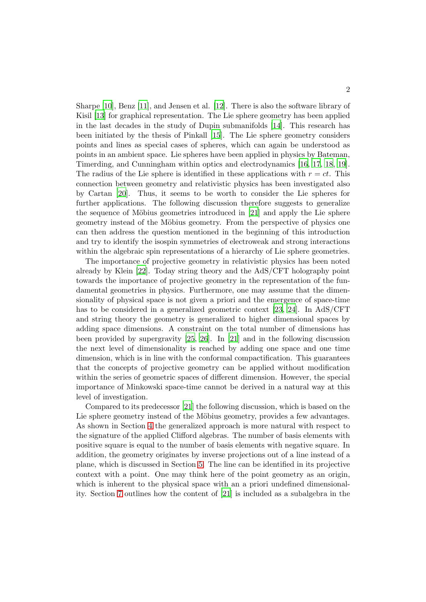Sharpe [\[10](#page-12-9)], Benz [\[11\]](#page-12-10), and Jensen et al. [\[12](#page-12-11)]. There is also the software library of Kisil [\[13](#page-12-12)] for graphical representation. The Lie sphere geometry has been applied in the last decades in the study of Dupin submanifolds [\[14\]](#page-12-13). This research has been initiated by the thesis of Pinkall [\[15\]](#page-12-14). The Lie sphere geometry considers points and lines as special cases of spheres, which can again be understood as points in an ambient space. Lie spheres have been applied in physics by Bateman, Timerding, and Cunningham within optics and electrodynamics [\[16,](#page-12-15) [17](#page-12-16), [18](#page-12-17), [19\]](#page-12-18). The radius of the Lie sphere is identified in these applications with  $r = ct$ . This connection between geometry and relativistic physics has been investigated also by Cartan [\[20](#page-12-19)]. Thus, it seems to be worth to consider the Lie spheres for further applications. The following discussion therefore suggests to generalize the sequence of Möbius geometries introduced in  $[21]$  and apply the Lie sphere geometry instead of the Möbius geometry. From the perspective of physics one can then address the question mentioned in the beginning of this introduction and try to identify the isospin symmetries of electroweak and strong interactions within the algebraic spin representations of a hierarchy of Lie sphere geometries.

The importance of projective geometry in relativistic physics has been noted already by Klein [\[22\]](#page-12-21). Today string theory and the AdS/CFT holography point towards the importance of projective geometry in the representation of the fundamental geometries in physics. Furthermore, one may assume that the dimensionality of physical space is not given a priori and the emergence of space-time has to be considered in a generalized geometric context [\[23](#page-12-22), [24\]](#page-12-23). In AdS/CFT and string theory the geometry is generalized to higher dimensional spaces by adding space dimensions. A constraint on the total number of dimensions has been provided by supergravity [\[25](#page-12-24), [26](#page-13-0)]. In [\[21](#page-12-20)] and in the following discussion the next level of dimensionality is reached by adding one space and one time dimension, which is in line with the conformal compactification. This guarantees that the concepts of projective geometry can be applied without modification within the series of geometric spaces of different dimension. However, the special importance of Minkowski space-time cannot be derived in a natural way at this level of investigation.

Compared to its predecessor [\[21](#page-12-20)] the following discussion, which is based on the Lie sphere geometry instead of the Möbius geometry, provides a few advantages. As shown in Section [4](#page-5-0) the generalized approach is more natural with respect to the signature of the applied Clifford algebras. The number of basis elements with positive square is equal to the number of basis elements with negative square. In addition, the geometry originates by inverse projections out of a line instead of a plane, which is discussed in Section [5.](#page-5-1) The line can be identified in its projective context with a point. One may think here of the point geometry as an origin, which is inherent to the physical space with an a priori undefined dimensionality. Section [7](#page-6-0) outlines how the content of [\[21\]](#page-12-20) is included as a subalgebra in the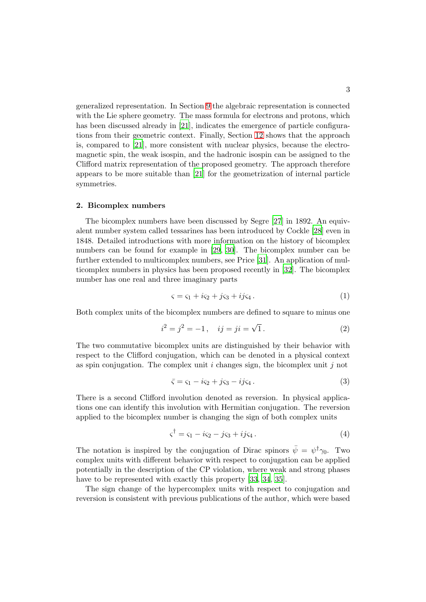generalized representation. In Section [9](#page-7-0) the algebraic representation is connected with the Lie sphere geometry. The mass formula for electrons and protons, which has been discussed already in [\[21\]](#page-12-20), indicates the emergence of particle configurations from their geometric context. Finally, Section [12](#page-9-0) shows that the approach is, compared to [\[21](#page-12-20)], more consistent with nuclear physics, because the electromagnetic spin, the weak isospin, and the hadronic isospin can be assigned to the Clifford matrix representation of the proposed geometry. The approach therefore appears to be more suitable than [\[21](#page-12-20)] for the geometrization of internal particle symmetries.

#### 2. Bicomplex numbers

The bicomplex numbers have been discussed by Segre [\[27](#page-13-1)] in 1892. An equivalent number system called tessarines has been introduced by Cockle [\[28](#page-13-2)] even in 1848. Detailed introductions with more information on the history of bicomplex numbers can be found for example in [\[29](#page-13-3), [30\]](#page-13-4). The bicomplex number can be further extended to multicomplex numbers, see Price [\[31](#page-13-5)]. An application of multicomplex numbers in physics has been proposed recently in [\[32\]](#page-13-6). The bicomplex number has one real and three imaginary parts

$$
\varsigma = \varsigma_1 + i\varsigma_2 + j\varsigma_3 + ij\varsigma_4. \tag{1}
$$

Both complex units of the bicomplex numbers are defined to square to minus one

$$
i^2 = j^2 = -1, \quad ij = ji = \sqrt{1}.
$$
 (2)

The two commutative bicomplex units are distinguished by their behavior with respect to the Clifford conjugation, which can be denoted in a physical context as spin conjugation. The complex unit i changes sign, the bicomplex unit i not

<span id="page-2-0"></span>
$$
\bar{\varsigma} = \varsigma_1 - i\varsigma_2 + j\varsigma_3 - ij\varsigma_4. \tag{3}
$$

There is a second Clifford involution denoted as reversion. In physical applications one can identify this involution with Hermitian conjugation. The reversion applied to the bicomplex number is changing the sign of both complex units

<span id="page-2-1"></span>
$$
\varsigma^{\dagger} = \varsigma_1 - i\varsigma_2 - j\varsigma_3 + ij\varsigma_4. \tag{4}
$$

The notation is inspired by the conjugation of Dirac spinors  $\bar{\psi} = \psi^{\dagger} \gamma_0$ . Two complex units with different behavior with respect to conjugation can be applied potentially in the description of the CP violation, where weak and strong phases have to be represented with exactly this property [\[33,](#page-13-7) [34](#page-13-8), [35](#page-13-9)].

The sign change of the hypercomplex units with respect to conjugation and reversion is consistent with previous publications of the author, which were based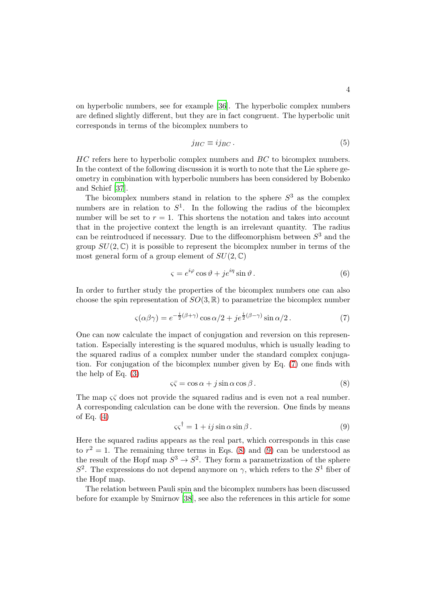on hyperbolic numbers, see for example [\[36](#page-13-10)]. The hyperbolic complex numbers are defined slightly different, but they are in fact congruent. The hyperbolic unit corresponds in terms of the bicomplex numbers to

$$
j_{HC} \equiv i j_{BC} \,. \tag{5}
$$

HC refers here to hyperbolic complex numbers and BC to bicomplex numbers. In the context of the following discussion it is worth to note that the Lie sphere geometry in combination with hyperbolic numbers has been considered by Bobenko and Schief [\[37](#page-13-11)].

The bicomplex numbers stand in relation to the sphere  $S<sup>3</sup>$  as the complex numbers are in relation to  $S^1$ . In the following the radius of the bicomplex number will be set to  $r = 1$ . This shortens the notation and takes into account that in the projective context the length is an irrelevant quantity. The radius can be reintroduced if necessary. Due to the diffeomorphism between  $S<sup>3</sup>$  and the group  $SU(2,\mathbb{C})$  it is possible to represent the bicomplex number in terms of the most general form of a group element of  $SU(2,\mathbb{C})$ 

$$
\varsigma = e^{i\varphi}\cos\vartheta + je^{i\eta}\sin\vartheta. \tag{6}
$$

In order to further study the properties of the bicomplex numbers one can also choose the spin representation of  $SO(3,\mathbb{R})$  to parametrize the bicomplex number

<span id="page-3-0"></span>
$$
\varsigma(\alpha\beta\gamma) = e^{-\frac{i}{2}(\beta+\gamma)}\cos\alpha/2 + je^{\frac{i}{2}(\beta-\gamma)}\sin\alpha/2.
$$
 (7)

One can now calculate the impact of conjugation and reversion on this representation. Especially interesting is the squared modulus, which is usually leading to the squared radius of a complex number under the standard complex conjugation. For conjugation of the bicomplex number given by Eq. [\(7\)](#page-3-0) one finds with the help of Eq. [\(3\)](#page-2-0)

<span id="page-3-1"></span>
$$
\varsigma \bar{\varsigma} = \cos \alpha + j \sin \alpha \cos \beta. \tag{8}
$$

The map  $\varsigma \bar{\varsigma}$  does not provide the squared radius and is even not a real number. A corresponding calculation can be done with the reversion. One finds by means of Eq.  $(4)$ 

<span id="page-3-2"></span>
$$
\varsigma \varsigma^{\dagger} = 1 + ij \sin \alpha \sin \beta. \tag{9}
$$

Here the squared radius appears as the real part, which corresponds in this case to  $r^2 = 1$ . The remaining three terms in Eqs. [\(8\)](#page-3-1) and [\(9\)](#page-3-2) can be understood as the result of the Hopf map  $S^3 \to S^2$ . They form a parametrization of the sphere  $S^2$ . The expressions do not depend anymore on  $\gamma$ , which refers to the  $S^1$  fiber of the Hopf map.

The relation between Pauli spin and the bicomplex numbers has been discussed before for example by Smirnov [\[38\]](#page-13-12), see also the references in this article for some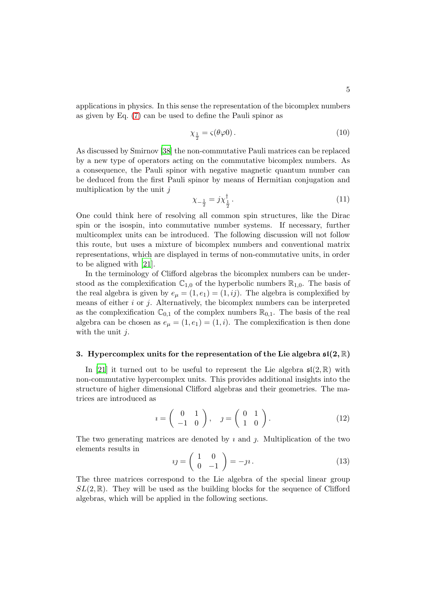applications in physics. In this sense the representation of the bicomplex numbers as given by Eq. [\(7\)](#page-3-0) can be used to define the Pauli spinor as

$$
\chi_{\frac{1}{2}} = \varsigma(\theta \varphi 0). \tag{10}
$$

As discussed by Smirnov [\[38\]](#page-13-12) the non-commutative Pauli matrices can be replaced by a new type of operators acting on the commutative bicomplex numbers. As a consequence, the Pauli spinor with negative magnetic quantum number can be deduced from the first Pauli spinor by means of Hermitian conjugation and multiplication by the unit  $j$ 

$$
\chi_{-\frac{1}{2}} = j\chi_{\frac{1}{2}}^{\dagger} \,. \tag{11}
$$

One could think here of resolving all common spin structures, like the Dirac spin or the isospin, into commutative number systems. If necessary, further multicomplex units can be introduced. The following discussion will not follow this route, but uses a mixture of bicomplex numbers and conventional matrix representations, which are displayed in terms of non-commutative units, in order to be aligned with [\[21\]](#page-12-20).

In the terminology of Clifford algebras the bicomplex numbers can be understood as the complexification  $\mathbb{C}_{1,0}$  of the hyperbolic numbers  $\mathbb{R}_{1,0}$ . The basis of the real algebra is given by  $e_{\mu} = (1, e_1) = (1, ij)$ . The algebra is complexified by means of either  $i$  or  $j$ . Alternatively, the bicomplex numbers can be interpreted as the complexification  $\mathbb{C}_{0,1}$  of the complex numbers  $\mathbb{R}_{0,1}$ . The basis of the real algebra can be chosen as  $e_{\mu} = (1, e_1) = (1, i)$ . The complexification is then done with the unit  $j$ .

### 3. Hypercomplex units for the representation of the Lie algebra  $\mathfrak{sl}(2,\mathbb{R})$

In [\[21\]](#page-12-20) it turned out to be useful to represent the Lie algebra  $\mathfrak{sl}(2,\mathbb{R})$  with non-commutative hypercomplex units. This provides additional insights into the structure of higher dimensional Clifford algebras and their geometries. The matrices are introduced as

$$
i = \left(\begin{array}{cc} 0 & 1 \\ -1 & 0 \end{array}\right), \quad j = \left(\begin{array}{cc} 0 & 1 \\ 1 & 0 \end{array}\right). \tag{12}
$$

The two generating matrices are denoted by  $\imath$  and  $\jmath$ . Multiplication of the two elements results in

$$
ij = \begin{pmatrix} 1 & 0 \\ 0 & -1 \end{pmatrix} = -\jmath i. \tag{13}
$$

The three matrices correspond to the Lie algebra of the special linear group  $SL(2,\mathbb{R})$ . They will be used as the building blocks for the sequence of Clifford algebras, which will be applied in the following sections.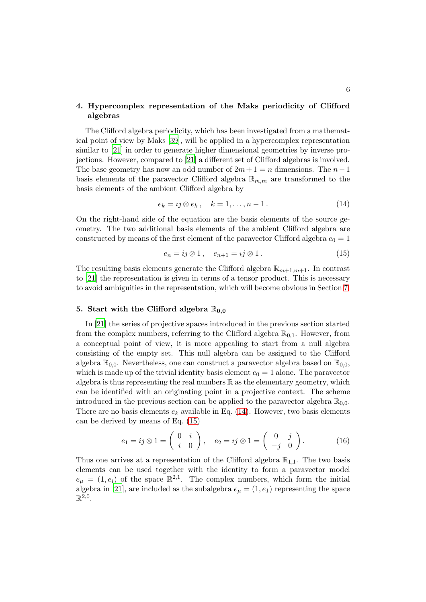## <span id="page-5-0"></span>4. Hypercomplex representation of the Maks periodicity of Clifford algebras

The Clifford algebra periodicity, which has been investigated from a mathematical point of view by Maks [\[39\]](#page-13-13), will be applied in a hypercomplex representation similar to [\[21\]](#page-12-20) in order to generate higher dimensional geometries by inverse projections. However, compared to [\[21\]](#page-12-20) a different set of Clifford algebras is involved. The base geometry has now an odd number of  $2m+1 = n$  dimensions. The  $n-1$ basis elements of the paravector Clifford algebra  $\mathbb{R}_{m,m}$  are transformed to the basis elements of the ambient Clifford algebra by

<span id="page-5-2"></span>
$$
e_k = i \, \otimes \, e_k \,, \quad k = 1, \dots, n-1 \,. \tag{14}
$$

On the right-hand side of the equation are the basis elements of the source geometry. The two additional basis elements of the ambient Clifford algebra are constructed by means of the first element of the paravector Clifford algebra  $e_0 = 1$ 

<span id="page-5-3"></span>
$$
e_n = ij \otimes 1, \quad e_{n+1} = ij \otimes 1. \tag{15}
$$

The resulting basis elements generate the Clifford algebra  $\mathbb{R}_{m+1,m+1}$ . In contrast to [\[21](#page-12-20)] the representation is given in terms of a tensor product. This is necessary to avoid ambiguities in the representation, which will become obvious in Section [7.](#page-6-0)

### <span id="page-5-1"></span>5. Start with the Clifford algebra  $\mathbb{R}_{0,0}$

In [\[21](#page-12-20)] the series of projective spaces introduced in the previous section started from the complex numbers, referring to the Clifford algebra  $\mathbb{R}_{0,1}$ . However, from a conceptual point of view, it is more appealing to start from a null algebra consisting of the empty set. This null algebra can be assigned to the Clifford algebra  $\mathbb{R}_{0,0}$ . Nevertheless, one can construct a paravector algebra based on  $\mathbb{R}_{0,0}$ , which is made up of the trivial identity basis element  $e_0 = 1$  alone. The paravector algebra is thus representing the real numbers  $\mathbb R$  as the elementary geometry, which can be identified with an originating point in a projective context. The scheme introduced in the previous section can be applied to the paravector algebra  $\mathbb{R}_{0,0}$ . There are no basis elements  $e_k$  available in Eq. [\(14\)](#page-5-2). However, two basis elements can be derived by means of Eq. [\(15\)](#page-5-3)

$$
e_1 = ij \otimes 1 = \begin{pmatrix} 0 & i \\ i & 0 \end{pmatrix}, \quad e_2 = ij \otimes 1 = \begin{pmatrix} 0 & j \\ -j & 0 \end{pmatrix}.
$$
 (16)

Thus one arrives at a representation of the Clifford algebra  $\mathbb{R}_{1,1}$ . The two basis elements can be used together with the identity to form a paravector model  $e_{\mu} = (1, e_i)$  of the space  $\mathbb{R}^{2,1}$ . The complex numbers, which form the initial algebra in [\[21](#page-12-20)], are included as the subalgebra  $e_{\mu} = (1, e_1)$  representing the space  $\mathbb{R}^{2,0}$ .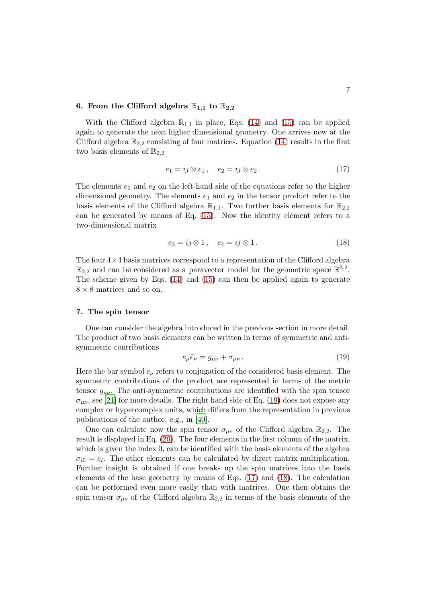### 6. From the Clifford algebra  $\mathbb{R}_{1,1}$  to  $\mathbb{R}_{2,2}$

With the Clifford algebra  $\mathbb{R}_{1,1}$  in place, Eqs. [\(14\)](#page-5-2) and [\(15\)](#page-5-3) can be applied again to generate the next higher dimensional geometry. One arrives now at the Clifford algebra  $\mathbb{R}_{2,2}$  consisting of four matrices. Equation [\(14\)](#page-5-2) results in the first two basis elements of  $\mathbb{R}_{2,2}$ 

<span id="page-6-2"></span>
$$
e_1 = \iota \mathfrak{I} \otimes e_1, \quad e_2 = \iota \mathfrak{I} \otimes e_2. \tag{17}
$$

The elements  $e_1$  and  $e_2$  on the left-hand side of the equations refer to the higher dimensional geometry. The elements  $e_1$  and  $e_2$  in the tensor product refer to the basis elements of the Clifford algebra  $\mathbb{R}_{1,1}$ . Two further basis elements for  $\mathbb{R}_{2,2}$ can be generated by means of Eq. [\(15\)](#page-5-3). Now the identity element refers to a two-dimensional matrix

<span id="page-6-3"></span>
$$
e_3 = ij \otimes 1, \quad e_4 = ij \otimes 1. \tag{18}
$$

The four  $4\times 4$  basis matrices correspond to a representation of the Clifford algebra  $\mathbb{R}_{2,2}$  and can be considered as a paravector model for the geometric space  $\mathbb{R}^{3,2}$ . The scheme given by Eqs. [\(14\)](#page-5-2) and [\(15\)](#page-5-3) can then be applied again to generate  $8 \times 8$  matrices and so on.

### <span id="page-6-0"></span>7. The spin tensor

One can consider the algebra introduced in the previous section in more detail. The product of two basis elements can be written in terms of symmetric and antisymmetric contributions

<span id="page-6-1"></span>
$$
e_{\mu}\bar{e}_{\nu} = g_{\mu\nu} + \sigma_{\mu\nu} \,. \tag{19}
$$

Here the bar symbol  $\bar{e}_{\nu}$  refers to conjugation of the considered basis element. The symmetric contributions of the product are represented in terms of the metric tensor  $g_{\mu\nu}$ . The anti-symmetric contributions are identified with the spin tensor  $\sigma_{\mu\nu}$ , see [\[21\]](#page-12-20) for more details. The right hand side of Eq. [\(19\)](#page-6-1) does not expose any complex or hypercomplex units, which differs from the representation in previous publications of the author, e.g., in [\[40\]](#page-13-14).

One can calculate now the spin tensor  $\sigma_{\mu\nu}$  of the Clifford algebra  $\mathbb{R}_{2,2}$ . The result is displayed in Eq. [\(20\)](#page-7-1). The four elements in the first column of the matrix, which is given the index 0, can be identified with the basis elements of the algebra  $\sigma_{i0} = e_i$ . The other elements can be calculated by direct matrix multiplication. Further insight is obtained if one breaks up the spin matrices into the basis elements of the base geometry by means of Eqs. [\(17\)](#page-6-2) and [\(18\)](#page-6-3). The calculation can be performed even more easily than with matrices. One then obtains the spin tensor  $\sigma_{\mu\nu}$  of the Clifford algebra  $\mathbb{R}_{2,2}$  in terms of the basis elements of the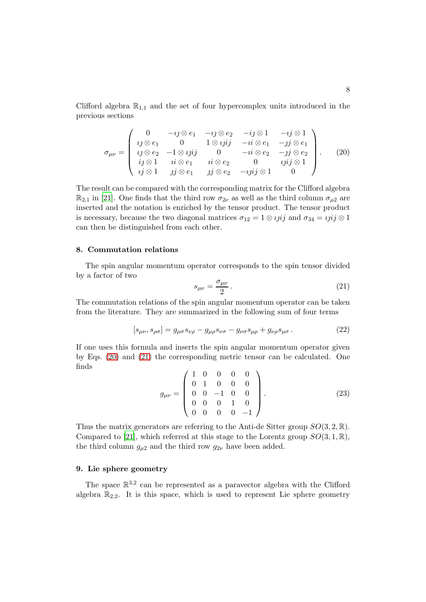Clifford algebra  $\mathbb{R}_{1,1}$  and the set of four hypercomplex units introduced in the previous sections

<span id="page-7-1"></span>
$$
\sigma_{\mu\nu} = \begin{pmatrix}\n0 & -ij \otimes e_1 & -ij \otimes e_2 & -ij \otimes 1 & -ij \otimes 1 \\
ij \otimes e_1 & 0 & 1 \otimes iji & -ii \otimes e_1 & -jj \otimes e_1 \\
ij \otimes e_2 & -1 \otimes iji & 0 & -ii \otimes e_2 & -jj \otimes e_2 \\
ij \otimes 1 & ii \otimes e_1 & ii \otimes e_2 & 0 & iji \otimes 1 \\
ij \otimes 1 & jj \otimes e_1 & jj \otimes e_2 & -ijij \otimes 1 & 0\n\end{pmatrix}.
$$
\n(20)

The result can be compared with the corresponding matrix for the Clifford algebra  $\mathbb{R}_{2,1}$  in [\[21](#page-12-20)]. One finds that the third row  $\sigma_{2\nu}$  as well as the third column  $\sigma_{\mu 2}$  are inserted and the notation is enriched by the tensor product. The tensor product is necessary, because the two diagonal matrices  $\sigma_{12} = 1 \otimes iji$  and  $\sigma_{34} = iji \otimes 1$ can then be distinguished from each other.

### 8. Commutation relations

The spin angular momentum operator corresponds to the spin tensor divided by a factor of two

<span id="page-7-2"></span>
$$
s_{\mu\nu} = \frac{\sigma_{\mu\nu}}{2} \,. \tag{21}
$$

The commutation relations of the spin angular momentum operator can be taken from the literature. They are summarized in the following sum of four terms

$$
[s_{\mu\nu}, s_{\rho\sigma}] = g_{\mu\sigma} s_{\nu\rho} - g_{\mu\rho} s_{\nu\sigma} - g_{\nu\sigma} s_{\mu\rho} + g_{\nu\rho} s_{\mu\sigma} . \tag{22}
$$

If one uses this formula and inserts the spin angular momentum operator given by Eqs. [\(20\)](#page-7-1) and [\(21\)](#page-7-2) the corresponding metric tensor can be calculated. One finds

$$
g_{\mu\nu} = \begin{pmatrix} 1 & 0 & 0 & 0 & 0 \\ 0 & 1 & 0 & 0 & 0 \\ 0 & 0 & -1 & 0 & 0 \\ 0 & 0 & 0 & 1 & 0 \\ 0 & 0 & 0 & 0 & -1 \end{pmatrix}.
$$
 (23)

Thus the matrix generators are referring to the Anti-de Sitter group  $SO(3, 2, \mathbb{R})$ . Compared to [\[21](#page-12-20)], which referred at this stage to the Lorentz group  $SO(3, 1, \mathbb{R})$ , the third column  $g_{\mu 2}$  and the third row  $g_{2\nu}$  have been added.

### <span id="page-7-0"></span>9. Lie sphere geometry

The space  $\mathbb{R}^{3,2}$  can be represented as a paravector algebra with the Clifford algebra  $\mathbb{R}_{2,2}$ . It is this space, which is used to represent Lie sphere geometry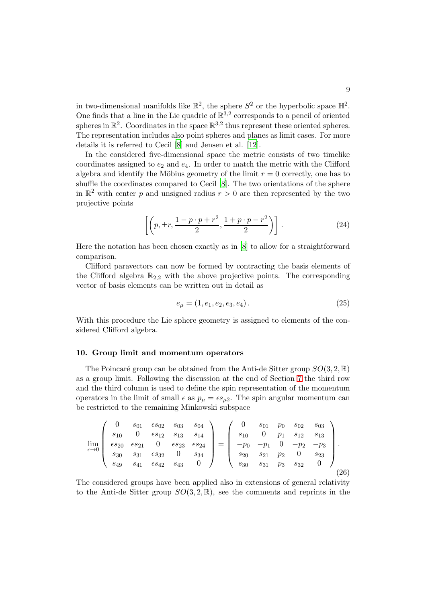in two-dimensional manifolds like  $\mathbb{R}^2$ , the sphere  $S^2$  or the hyperbolic space  $\mathbb{H}^2$ . One finds that a line in the Lie quadric of  $\mathbb{R}^{3,2}$  corresponds to a pencil of oriented spheres in  $\mathbb{R}^2$ . Coordinates in the space  $\mathbb{R}^{3,2}$  thus represent these oriented spheres. The representation includes also point spheres and planes as limit cases. For more details it is referred to Cecil [\[8](#page-12-7)] and Jensen et al. [\[12](#page-12-11)].

In the considered five-dimensional space the metric consists of two timelike coordinates assigned to  $e_2$  and  $e_4$ . In order to match the metric with the Clifford algebra and identify the Möbius geometry of the limit  $r = 0$  correctly, one has to shuffle the coordinates compared to Cecil [\[8\]](#page-12-7). The two orientations of the sphere in  $\mathbb{R}^2$  with center p and unsigned radius  $r > 0$  are then represented by the two projective points

<span id="page-8-0"></span>
$$
\left[ \left( p, \pm r, \frac{1-p \cdot p + r^2}{2}, \frac{1+p \cdot p - r^2}{2} \right) \right]. \tag{24}
$$

Here the notation has been chosen exactly as in [\[8\]](#page-12-7) to allow for a straightforward comparison.

Clifford paravectors can now be formed by contracting the basis elements of the Clifford algebra  $\mathbb{R}_{2,2}$  with the above projective points. The corresponding vector of basis elements can be written out in detail as

$$
e_{\mu} = (1, e_1, e_2, e_3, e_4). \tag{25}
$$

With this procedure the Lie sphere geometry is assigned to elements of the considered Clifford algebra.

#### <span id="page-8-1"></span>10. Group limit and momentum operators

The Poincaré group can be obtained from the Anti-de Sitter group  $SO(3, 2, \mathbb{R})$ as a group limit. Following the discussion at the end of Section [7](#page-6-0) the third row and the third column is used to define the spin representation of the momentum operators in the limit of small  $\epsilon$  as  $p_{\mu} = \epsilon s_{\mu 2}$ . The spin angular momentum can be restricted to the remaining Minkowski subspace

$$
\lim_{\epsilon \to 0} \begin{pmatrix} 0 & s_{01} & \epsilon s_{02} & s_{03} & s_{04} \\ s_{10} & 0 & \epsilon s_{12} & s_{13} & s_{14} \\ \epsilon s_{20} & \epsilon s_{21} & 0 & \epsilon s_{23} & \epsilon s_{24} \\ s_{30} & s_{31} & \epsilon s_{32} & 0 & s_{34} \\ s_{49} & s_{41} & \epsilon s_{42} & s_{43} & 0 \end{pmatrix} = \begin{pmatrix} 0 & s_{01} & p_{0} & s_{02} & s_{03} \\ s_{10} & 0 & p_{1} & s_{12} & s_{13} \\ -p_{0} & -p_{1} & 0 & -p_{2} & -p_{3} \\ s_{20} & s_{21} & p_{2} & 0 & s_{23} \\ s_{30} & s_{31} & p_{3} & s_{32} & 0 \end{pmatrix}.
$$
\n(26)

The considered groups have been applied also in extensions of general relativity to the Anti-de Sitter group  $SO(3, 2, \mathbb{R})$ , see the comments and reprints in the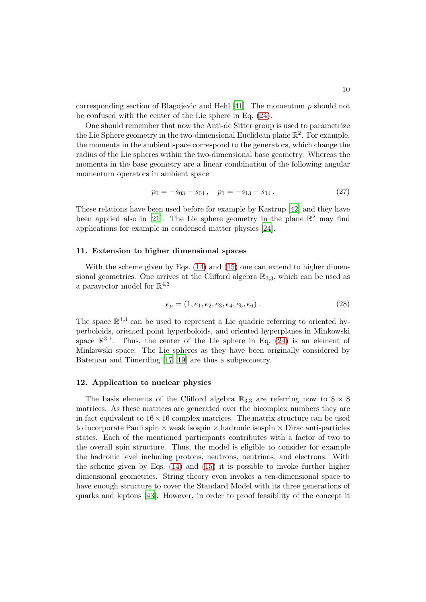corresponding section of Blagojevic and Hehl  $[41]$ . The momentum p should not be confused with the center of the Lie sphere in Eq. [\(24\)](#page-8-0).

One should remember that now the Anti-de Sitter group is used to parametrize the Lie Sphere geometry in the two-dimensional Euclidean plane  $\mathbb{R}^2$ . For example, the momenta in the ambient space correspond to the generators, which change the radius of the Lie spheres within the two-dimensional base geometry. Whereas the momenta in the base geometry are a linear combination of the following angular momentum operators in ambient space

$$
p_0 = -s_{03} - s_{04} \,, \quad p_1 = -s_{13} - s_{14} \,. \tag{27}
$$

These relations have been used before for example by Kastrup [\[42](#page-13-16)] and they have been applied also in [\[21](#page-12-20)]. The Lie sphere geometry in the plane  $\mathbb{R}^2$  may find applications for example in condensed matter physics [\[24\]](#page-12-23).

### 11. Extension to higher dimensional spaces

With the scheme given by Eqs.  $(14)$  and  $(15)$  one can extend to higher dimensional geometries. One arrives at the Clifford algebra  $\mathbb{R}_{3,3}$ , which can be used as a paravector model for  $\mathbb{R}^{4,3}$ 

<span id="page-9-1"></span>
$$
e_{\mu} = (1, e_1, e_2, e_3, e_4, e_5, e_6). \tag{28}
$$

The space  $\mathbb{R}^{4,3}$  can be used to represent a Lie quadric referring to oriented hyperboloids, oriented point hyperboloids, and oriented hyperplanes in Minkowski space  $\mathbb{R}^{3,1}$ . Thus, the center of the Lie sphere in Eq. [\(24\)](#page-8-0) is an element of Minkowski space. The Lie spheres as they have been originally considered by Bateman and Timerding [\[17](#page-12-16), [19\]](#page-12-18) are thus a subgeometry.

#### <span id="page-9-0"></span>12. Application to nuclear physics

The basis elements of the Clifford algebra  $\mathbb{R}_{3,3}$  are referring now to  $8 \times 8$ matrices. As these matrices are generated over the bicomplex numbers they are in fact equivalent to  $16 \times 16$  complex matrices. The matrix structure can be used to incorporate Pauli spin  $\times$  weak isospin  $\times$  hadronic isospin  $\times$  Dirac anti-particles states. Each of the mentioned participants contributes with a factor of two to the overall spin structure. Thus, the model is eligible to consider for example the hadronic level including protons, neutrons, neutrinos, and electrons. With the scheme given by Eqs. [\(14\)](#page-5-2) and [\(15\)](#page-5-3) it is possible to invoke further higher dimensional geometries. String theory even invokes a ten-dimensional space to have enough structure to cover the Standard Model with its three generations of quarks and leptons [\[43](#page-13-17)]. However, in order to proof feasibility of the concept it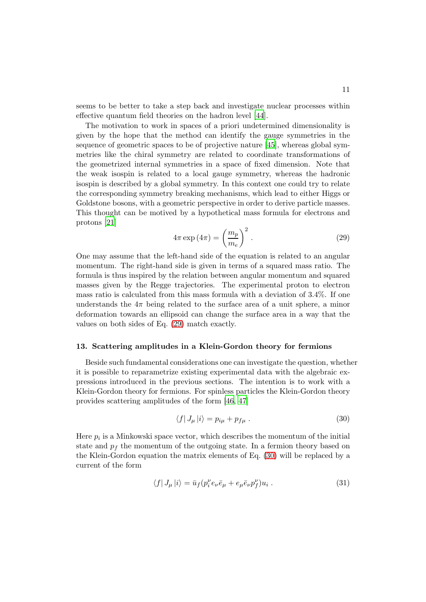seems to be better to take a step back and investigate nuclear processes within effective quantum field theories on the hadron level [\[44](#page-13-18)].

The motivation to work in spaces of a priori undetermined dimensionality is given by the hope that the method can identify the gauge symmetries in the sequence of geometric spaces to be of projective nature [\[45\]](#page-13-19), whereas global symmetries like the chiral symmetry are related to coordinate transformations of the geometrized internal symmetries in a space of fixed dimension. Note that the weak isospin is related to a local gauge symmetry, whereas the hadronic isospin is described by a global symmetry. In this context one could try to relate the corresponding symmetry breaking mechanisms, which lead to either Higgs or Goldstone bosons, with a geometric perspective in order to derive particle masses. This thought can be motived by a hypothetical mass formula for electrons and protons [\[21\]](#page-12-20)

<span id="page-10-0"></span>
$$
4\pi \exp\left(4\pi\right) = \left(\frac{m_p}{m_e}\right)^2.
$$
 (29)

One may assume that the left-hand side of the equation is related to an angular momentum. The right-hand side is given in terms of a squared mass ratio. The formula is thus inspired by the relation between angular momentum and squared masses given by the Regge trajectories. The experimental proton to electron mass ratio is calculated from this mass formula with a deviation of 3.4%. If one understands the  $4\pi$  being related to the surface area of a unit sphere, a minor deformation towards an ellipsoid can change the surface area in a way that the values on both sides of Eq. [\(29\)](#page-10-0) match exactly.

#### 13. Scattering amplitudes in a Klein-Gordon theory for fermions

Beside such fundamental considerations one can investigate the question, whether it is possible to reparametrize existing experimental data with the algebraic expressions introduced in the previous sections. The intention is to work with a Klein-Gordon theory for fermions. For spinless particles the Klein-Gordon theory provides scattering amplitudes of the form [\[46,](#page-13-20) [47](#page-13-21)]

<span id="page-10-1"></span>
$$
\langle f|J_{\mu}|i\rangle = p_{i\mu} + p_{f\mu} . \qquad (30)
$$

Here  $p_i$  is a Minkowski space vector, which describes the momentum of the initial state and  $p_f$  the momentum of the outgoing state. In a fermion theory based on the Klein-Gordon equation the matrix elements of Eq. [\(30\)](#page-10-1) will be replaced by a current of the form

<span id="page-10-2"></span>
$$
\langle f|J_{\mu}|i\rangle = \bar{u}_f(p_i^{\nu}e_{\nu}\bar{e}_{\mu} + e_{\mu}\bar{e}_{\nu}p_f^{\nu})u_i.
$$
 (31)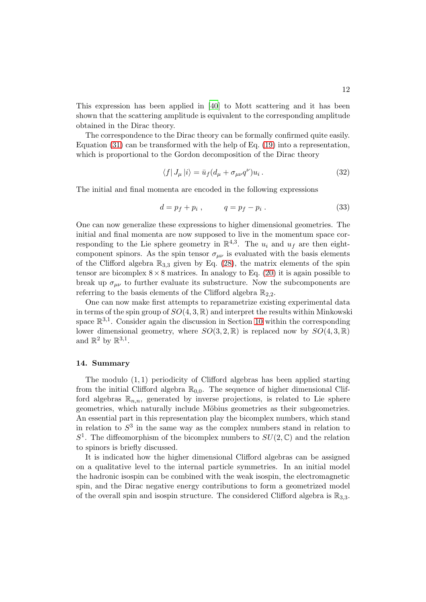This expression has been applied in [\[40\]](#page-13-14) to Mott scattering and it has been shown that the scattering amplitude is equivalent to the corresponding amplitude obtained in the Dirac theory.

The correspondence to the Dirac theory can be formally confirmed quite easily. Equation [\(31\)](#page-10-2) can be transformed with the help of Eq. [\(19\)](#page-6-1) into a representation, which is proportional to the Gordon decomposition of the Dirac theory

$$
\langle f|J_{\mu}|i\rangle = \bar{u}_f(d_{\mu} + \sigma_{\mu\nu}q^{\nu})u_i.
$$
 (32)

The initial and final momenta are encoded in the following expressions

$$
d = p_f + p_i , \t q = p_f - p_i . \t (33)
$$

One can now generalize these expressions to higher dimensional geometries. The initial and final momenta are now supposed to live in the momentum space corresponding to the Lie sphere geometry in  $\mathbb{R}^{4,3}$ . The  $u_i$  and  $u_f$  are then eightcomponent spinors. As the spin tensor  $\sigma_{\mu\nu}$  is evaluated with the basis elements of the Clifford algebra  $\mathbb{R}_{3,3}$  given by Eq. [\(28\)](#page-9-1), the matrix elements of the spin tensor are bicomplex  $8 \times 8$  matrices. In analogy to Eq. [\(20\)](#page-7-1) it is again possible to break up  $\sigma_{\mu\nu}$  to further evaluate its substructure. Now the subcomponents are referring to the basis elements of the Clifford algebra  $\mathbb{R}_{2,2}$ .

One can now make first attempts to reparametrize existing experimental data in terms of the spin group of  $SO(4,3,\mathbb{R})$  and interpret the results within Minkowski space  $\mathbb{R}^{3,1}$ . Consider again the discussion in Section [10](#page-8-1) within the corresponding lower dimensional geometry, where  $SO(3, 2, \mathbb{R})$  is replaced now by  $SO(4, 3, \mathbb{R})$ and  $\mathbb{R}^2$  by  $\mathbb{R}^{3,1}$ .

### 14. Summary

The modulo  $(1, 1)$  periodicity of Clifford algebras has been applied starting from the initial Clifford algebra  $\mathbb{R}_{0,0}$ . The sequence of higher dimensional Clifford algebras  $\mathbb{R}_{n,n}$ , generated by inverse projections, is related to Lie sphere geometries, which naturally include Möbius geometries as their subgeometries. An essential part in this representation play the bicomplex numbers, which stand in relation to  $S<sup>3</sup>$  in the same way as the complex numbers stand in relation to  $S^1$ . The diffeomorphism of the bicomplex numbers to  $SU(2,\mathbb{C})$  and the relation to spinors is briefly discussed.

It is indicated how the higher dimensional Clifford algebras can be assigned on a qualitative level to the internal particle symmetries. In an initial model the hadronic isospin can be combined with the weak isospin, the electromagnetic spin, and the Dirac negative energy contributions to form a geometrized model of the overall spin and isospin structure. The considered Clifford algebra is  $\mathbb{R}_{3,3}$ .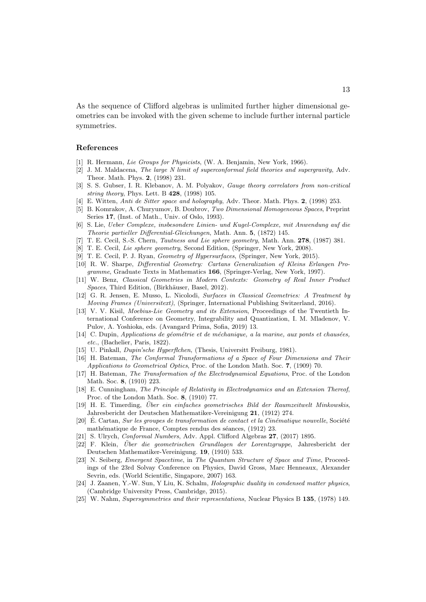As the sequence of Clifford algebras is unlimited further higher dimensional geometries can be invoked with the given scheme to include further internal particle symmetries.

### References

- <span id="page-12-0"></span>[1] R. Hermann, Lie Groups for Physicists, (W. A. Benjamin, New York, 1966).
- <span id="page-12-1"></span>[2] J. M. Maldacena, The large N limit of superconformal field theories and supergravity, Adv. Theor. Math. Phys. 2, (1998) 231.
- <span id="page-12-2"></span>[3] S. S. Gubser, I. R. Klebanov, A. M. Polyakov, Gauge theory correlators from non-critical string theory, Phys. Lett. B 428, (1998) 105.
- <span id="page-12-3"></span>[4] E. Witten, Anti de Sitter space and holography, Adv. Theor. Math. Phys. 2, (1998) 253.
- <span id="page-12-4"></span>[5] B. Komrakov, A. Churyumov, B. Doubrov, Two Dimensional Homogeneous Spaces, Preprint Series 17, (Inst. of Math., Univ. of Oslo, 1993).
- <span id="page-12-5"></span>[6] S. Lie, Ueber Complexe, insbesondere Linien- und Kugel-Complexe, mit Anwendung auf die Theorie partieller Differential-Gleichungen, Math. Ann. 5, (1872) 145.
- <span id="page-12-6"></span>[7] T. E. Cecil, S.-S. Chern, Tautness and Lie sphere geometry, Math. Ann. 278, (1987) 381.
- <span id="page-12-7"></span>[8] T. E. Cecil, Lie sphere geometry, Second Edition, (Springer, New York, 2008).
- <span id="page-12-8"></span>[9] T. E. Cecil, P. J. Ryan, Geometry of Hypersurfaces, (Springer, New York, 2015).
- <span id="page-12-9"></span>[10] R. W. Sharpe, Differential Geometry: Cartans Generalization of Kleins Erlangen Programme, Graduate Texts in Mathematics 166, (Springer-Verlag, New York, 1997).
- <span id="page-12-10"></span>[11] W. Benz, Classical Geometries in Modern Contexts: Geometry of Real Inner Product Spaces, Third Edition, (Birkhäuser, Basel, 2012).
- <span id="page-12-11"></span>[12] G. R. Jensen, E. Musso, L. Nicolodi, Surfaces in Classical Geometries: A Treatment by Moving Frames (Universitext), (Springer, International Publishing Switzerland, 2016).
- <span id="page-12-12"></span>[13] V. V. Kisil, Moebius-Lie Geometry and its Extension, Proceedings of the Twentieth International Conference on Geometry, Integrability and Quantization, I. M. Mladenov, V. Pulov, A. Yoshioka, eds. (Avangard Prima, Sofia, 2019) 13.
- <span id="page-12-13"></span> $[14]$  C. Dupin, Applications de géométrie et de méchanique, a la marine, aux ponts et chausées, etc., (Bachelier, Paris, 1822).
- <span id="page-12-14"></span>[15] U. Pinkall, Dupin'sche Hyperflchen, (Thesis, Universitt Freiburg, 1981).
- <span id="page-12-15"></span>[16] H. Bateman, The Conformal Transformations of a Space of Four Dimensions and Their Applications to Geometrical Optics, Proc. of the London Math. Soc. 7, (1909) 70.
- <span id="page-12-16"></span>[17] H. Bateman, The Transformation of the Electrodynamical Equations, Proc. of the London Math. Soc. 8, (1910) 223.
- <span id="page-12-17"></span>[18] E. Cunningham, The Principle of Relativity in Electrodynamics and an Extension Thereof, Proc. of the London Math. Soc. 8, (1910) 77.
- <span id="page-12-18"></span>[19] H. E. Timerding, Uber ein einfaches geometrisches Bild der Raumzeitwelt Minkowskis, Jahresbericht der Deutschen Mathematiker-Vereinigung 21, (1912) 274.
- <span id="page-12-19"></span> $[20]$  E. Cartan, *Sur les groupes de transformation de contact et la Cinématique nouvelle*, Société mathématique de France, Comptes rendus des séances, (1912) 23.
- <span id="page-12-20"></span>[21] S. Ulrych, Conformal Numbers, Adv. Appl. Clifford Algebras 27, (2017) 1895.
- <span id="page-12-21"></span>[22] F. Klein, Uber die geometrischen Grundlagen der Lorentzgruppe, Jahresbericht der Deutschen Mathematiker-Vereinigung. 19, (1910) 533.
- <span id="page-12-22"></span>[23] N. Seiberg, Emergent Spacetime, in The Quantum Structure of Space and Time, Proceedings of the 23rd Solvay Conference on Physics, David Gross, Marc Henneaux, Alexander Sevrin, eds. (World Scientific, Singapore, 2007) 163.
- <span id="page-12-23"></span>[24] J. Zaanen, Y.-W. Sun, Y Liu, K. Schalm, Holographic duality in condensed matter physics, (Cambridge University Press, Cambridge, 2015).
- <span id="page-12-24"></span>[25] W. Nahm, Supersymmetries and their representations, Nuclear Physics B 135, (1978) 149.